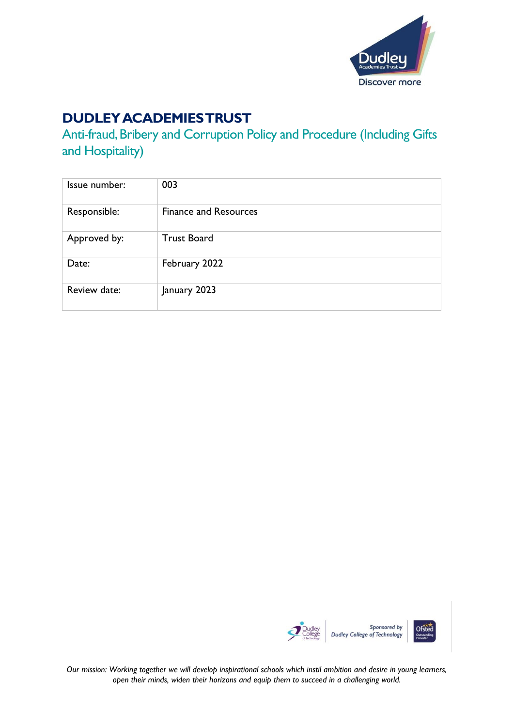

# **DUDLEY ACADEMIES TRUST**

Anti-fraud, Bribery and Corruption Policy and Procedure (Including Gifts and Hospitality)

| Issue number: | 003                          |
|---------------|------------------------------|
| Responsible:  | <b>Finance and Resources</b> |
| Approved by:  | <b>Trust Board</b>           |
| Date:         | February 2022                |
| Review date:  | January 2023                 |



*Our mission: Working together we will develop inspirational schools which instil ambition and desire in young learners, open their minds, widen their horizons and equip them to succeed in a challenging world.*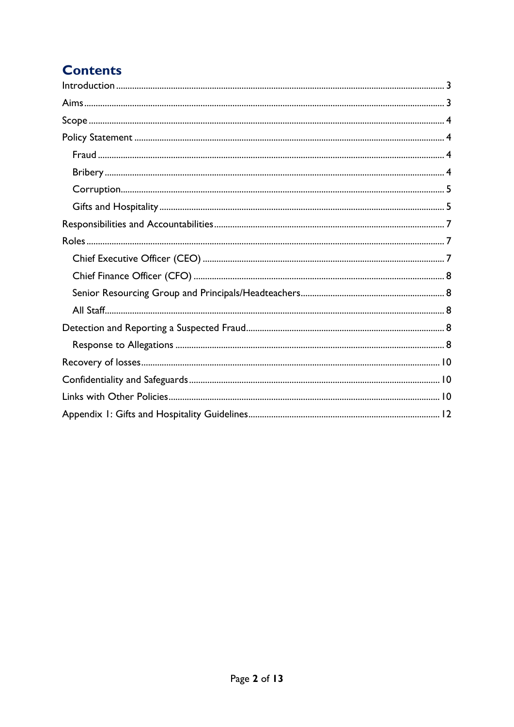# **Contents**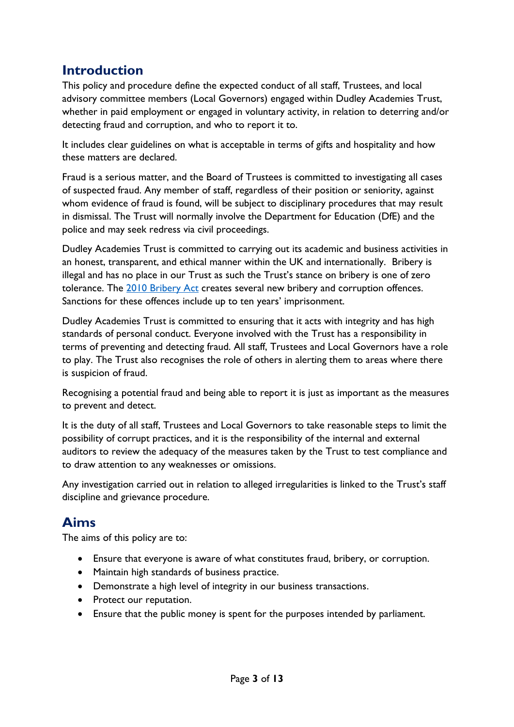## <span id="page-2-0"></span>**Introduction**

This policy and procedure define the expected conduct of all staff, Trustees, and local advisory committee members (Local Governors) engaged within Dudley Academies Trust, whether in paid employment or engaged in voluntary activity, in relation to deterring and/or detecting fraud and corruption, and who to report it to.

It includes clear guidelines on what is acceptable in terms of gifts and hospitality and how these matters are declared.

Fraud is a serious matter, and the Board of Trustees is committed to investigating all cases of suspected fraud. Any member of staff, regardless of their position or seniority, against whom evidence of fraud is found, will be subject to disciplinary procedures that may result in dismissal. The Trust will normally involve the Department for Education (DfE) and the police and may seek redress via civil proceedings.

Dudley Academies Trust is committed to carrying out its academic and business activities in an honest, transparent, and ethical manner within the UK and internationally. Bribery is illegal and has no place in our Trust as such the Trust's stance on bribery is one of zero tolerance. The [2010 Bribery Act](https://www.legislation.gov.uk/ukpga/2010/23/contents) creates several new bribery and corruption offences. Sanctions for these offences include up to ten years' imprisonment.

Dudley Academies Trust is committed to ensuring that it acts with integrity and has high standards of personal conduct. Everyone involved with the Trust has a responsibility in terms of preventing and detecting fraud. All staff, Trustees and Local Governors have a role to play. The Trust also recognises the role of others in alerting them to areas where there is suspicion of fraud.

Recognising a potential fraud and being able to report it is just as important as the measures to prevent and detect.

It is the duty of all staff, Trustees and Local Governors to take reasonable steps to limit the possibility of corrupt practices, and it is the responsibility of the internal and external auditors to review the adequacy of the measures taken by the Trust to test compliance and to draw attention to any weaknesses or omissions.

Any investigation carried out in relation to alleged irregularities is linked to the Trust's staff discipline and grievance procedure.

# <span id="page-2-1"></span>**Aims**

The aims of this policy are to:

- Ensure that everyone is aware of what constitutes fraud, bribery, or corruption.
- Maintain high standards of business practice.
- Demonstrate a high level of integrity in our business transactions.
- Protect our reputation.
- Ensure that the public money is spent for the purposes intended by parliament.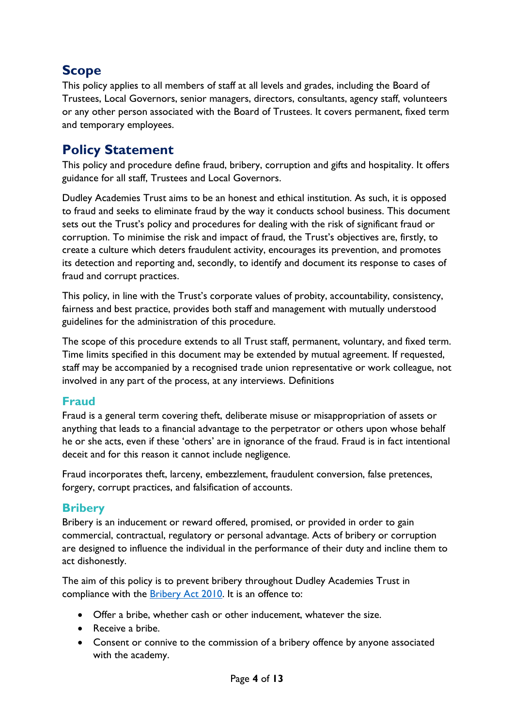# <span id="page-3-0"></span>**Scope**

This policy applies to all members of staff at all levels and grades, including the Board of Trustees, Local Governors, senior managers, directors, consultants, agency staff, volunteers or any other person associated with the Board of Trustees. It covers permanent, fixed term and temporary employees.

## <span id="page-3-1"></span>**Policy Statement**

This policy and procedure define fraud, bribery, corruption and gifts and hospitality. It offers guidance for all staff, Trustees and Local Governors.

Dudley Academies Trust aims to be an honest and ethical institution. As such, it is opposed to fraud and seeks to eliminate fraud by the way it conducts school business. This document sets out the Trust's policy and procedures for dealing with the risk of significant fraud or corruption. To minimise the risk and impact of fraud, the Trust's objectives are, firstly, to create a culture which deters fraudulent activity, encourages its prevention, and promotes its detection and reporting and, secondly, to identify and document its response to cases of fraud and corrupt practices.

This policy, in line with the Trust's corporate values of probity, accountability, consistency, fairness and best practice, provides both staff and management with mutually understood guidelines for the administration of this procedure.

The scope of this procedure extends to all Trust staff, permanent, voluntary, and fixed term. Time limits specified in this document may be extended by mutual agreement. If requested, staff may be accompanied by a recognised trade union representative or work colleague, not involved in any part of the process, at any interviews. Definitions

### <span id="page-3-2"></span>**Fraud**

Fraud is a general term covering theft, deliberate misuse or misappropriation of assets or anything that leads to a financial advantage to the perpetrator or others upon whose behalf he or she acts, even if these 'others' are in ignorance of the fraud. Fraud is in fact intentional deceit and for this reason it cannot include negligence.

Fraud incorporates theft, larceny, embezzlement, fraudulent conversion, false pretences, forgery, corrupt practices, and falsification of accounts.

### <span id="page-3-3"></span>**Bribery**

Bribery is an inducement or reward offered, promised, or provided in order to gain commercial, contractual, regulatory or personal advantage. Acts of bribery or corruption are designed to influence the individual in the performance of their duty and incline them to act dishonestly.

The aim of this policy is to prevent bribery throughout Dudley Academies Trust in compliance with the **Bribery Act 2010**. It is an offence to:

- Offer a bribe, whether cash or other inducement, whatever the size.
- Receive a bribe.
- Consent or connive to the commission of a bribery offence by anyone associated with the academy.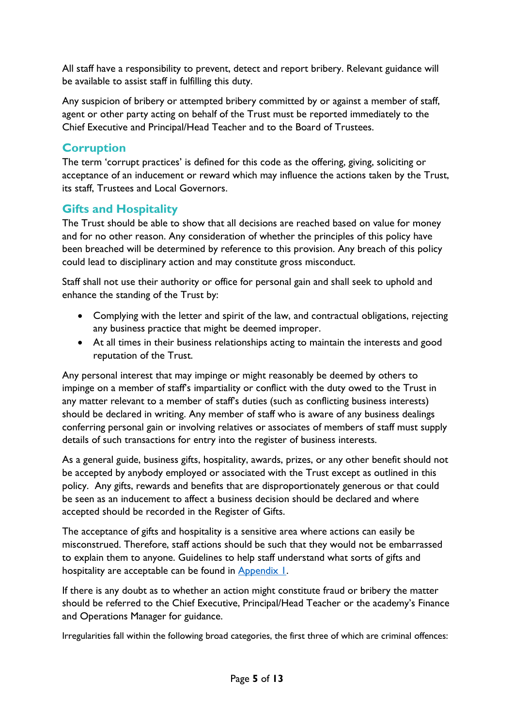All staff have a responsibility to prevent, detect and report bribery. Relevant guidance will be available to assist staff in fulfilling this duty.

Any suspicion of bribery or attempted bribery committed by or against a member of staff, agent or other party acting on behalf of the Trust must be reported immediately to the Chief Executive and Principal/Head Teacher and to the Board of Trustees.

### <span id="page-4-0"></span>**Corruption**

The term 'corrupt practices' is defined for this code as the offering, giving, soliciting or acceptance of an inducement or reward which may influence the actions taken by the Trust, its staff, Trustees and Local Governors.

### <span id="page-4-1"></span>**Gifts and Hospitality**

The Trust should be able to show that all decisions are reached based on value for money and for no other reason. Any consideration of whether the principles of this policy have been breached will be determined by reference to this provision. Any breach of this policy could lead to disciplinary action and may constitute gross misconduct.

Staff shall not use their authority or office for personal gain and shall seek to uphold and enhance the standing of the Trust by:

- Complying with the letter and spirit of the law, and contractual obligations, rejecting any business practice that might be deemed improper.
- At all times in their business relationships acting to maintain the interests and good reputation of the Trust.

Any personal interest that may impinge or might reasonably be deemed by others to impinge on a member of staff's impartiality or conflict with the duty owed to the Trust in any matter relevant to a member of staff's duties (such as conflicting business interests) should be declared in writing. Any member of staff who is aware of any business dealings conferring personal gain or involving relatives or associates of members of staff must supply details of such transactions for entry into the register of business interests.

As a general guide, business gifts, hospitality, awards, prizes, or any other benefit should not be accepted by anybody employed or associated with the Trust except as outlined in this policy. Any gifts, rewards and benefits that are disproportionately generous or that could be seen as an inducement to affect a business decision should be declared and where accepted should be recorded in the Register of Gifts.

The acceptance of gifts and hospitality is a sensitive area where actions can easily be misconstrued. Therefore, staff actions should be such that they would not be embarrassed to explain them to anyone. Guidelines to help staff understand what sorts of gifts and hospitality are acceptable can be found in **Appendix 1.** 

If there is any doubt as to whether an action might constitute fraud or bribery the matter should be referred to the Chief Executive, Principal/Head Teacher or the academy's Finance and Operations Manager for guidance.

Irregularities fall within the following broad categories, the first three of which are criminal offences: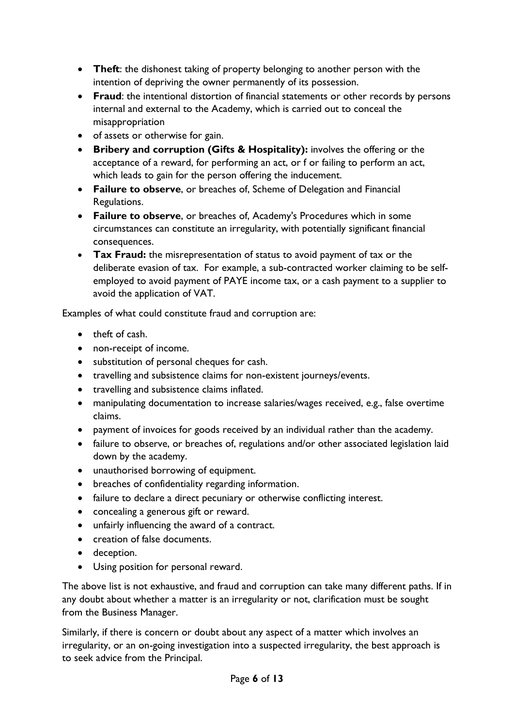- **Theft**: the dishonest taking of property belonging to another person with the intention of depriving the owner permanently of its possession.
- **Fraud**: the intentional distortion of financial statements or other records by persons internal and external to the Academy, which is carried out to conceal the misappropriation
- of assets or otherwise for gain.
- **Bribery and corruption (Gifts & Hospitality):** involves the offering or the acceptance of a reward, for performing an act, or f or failing to perform an act, which leads to gain for the person offering the inducement.
- **Failure to observe**, or breaches of, Scheme of Delegation and Financial Regulations.
- **Failure to observe**, or breaches of, Academy's Procedures which in some circumstances can constitute an irregularity, with potentially significant financial consequences.
- **Tax Fraud:** the misrepresentation of status to avoid payment of tax or the deliberate evasion of tax. For example, a sub-contracted worker claiming to be selfemployed to avoid payment of PAYE income tax, or a cash payment to a supplier to avoid the application of VAT.

Examples of what could constitute fraud and corruption are:

- theft of cash.
- non-receipt of income.
- substitution of personal cheques for cash.
- travelling and subsistence claims for non-existent journeys/events.
- travelling and subsistence claims inflated.
- manipulating documentation to increase salaries/wages received, e.g., false overtime claims.
- payment of invoices for goods received by an individual rather than the academy.
- failure to observe, or breaches of, regulations and/or other associated legislation laid down by the academy.
- unauthorised borrowing of equipment.
- breaches of confidentiality regarding information.
- failure to declare a direct pecuniary or otherwise conflicting interest.
- concealing a generous gift or reward.
- unfairly influencing the award of a contract.
- creation of false documents.
- deception.
- Using position for personal reward.

The above list is not exhaustive, and fraud and corruption can take many different paths. If in any doubt about whether a matter is an irregularity or not, clarification must be sought from the Business Manager.

Similarly, if there is concern or doubt about any aspect of a matter which involves an irregularity, or an on-going investigation into a suspected irregularity, the best approach is to seek advice from the Principal.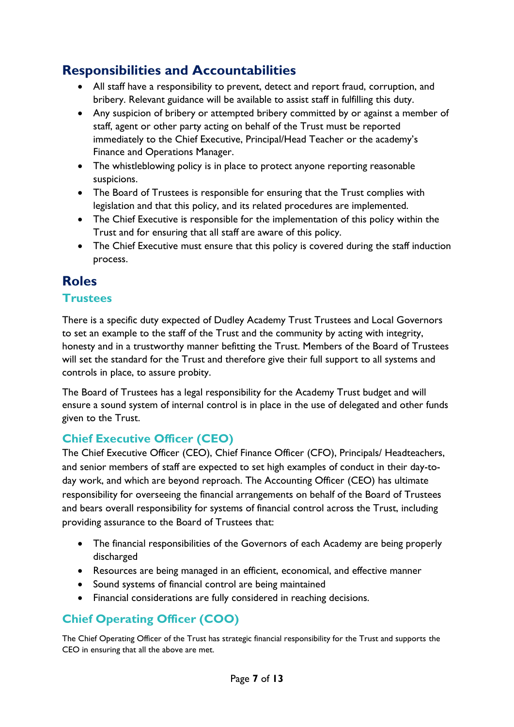# <span id="page-6-0"></span>**Responsibilities and Accountabilities**

- All staff have a responsibility to prevent, detect and report fraud, corruption, and bribery. Relevant guidance will be available to assist staff in fulfilling this duty.
- Any suspicion of bribery or attempted bribery committed by or against a member of staff, agent or other party acting on behalf of the Trust must be reported immediately to the Chief Executive, Principal/Head Teacher or the academy's Finance and Operations Manager.
- The whistleblowing policy is in place to protect anyone reporting reasonable suspicions.
- The Board of Trustees is responsible for ensuring that the Trust complies with legislation and that this policy, and its related procedures are implemented.
- The Chief Executive is responsible for the implementation of this policy within the Trust and for ensuring that all staff are aware of this policy.
- The Chief Executive must ensure that this policy is covered during the staff induction process.

## <span id="page-6-1"></span>**Roles**

### **Trustees**

There is a specific duty expected of Dudley Academy Trust Trustees and Local Governors to set an example to the staff of the Trust and the community by acting with integrity, honesty and in a trustworthy manner befitting the Trust. Members of the Board of Trustees will set the standard for the Trust and therefore give their full support to all systems and controls in place, to assure probity.

The Board of Trustees has a legal responsibility for the Academy Trust budget and will ensure a sound system of internal control is in place in the use of delegated and other funds given to the Trust.

## <span id="page-6-2"></span>**Chief Executive Officer (CEO)**

The Chief Executive Officer (CEO), Chief Finance Officer (CFO), Principals/ Headteachers, and senior members of staff are expected to set high examples of conduct in their day-today work, and which are beyond reproach. The Accounting Officer (CEO) has ultimate responsibility for overseeing the financial arrangements on behalf of the Board of Trustees and bears overall responsibility for systems of financial control across the Trust, including providing assurance to the Board of Trustees that:

- The financial responsibilities of the Governors of each Academy are being properly discharged
- Resources are being managed in an efficient, economical, and effective manner
- Sound systems of financial control are being maintained
- Financial considerations are fully considered in reaching decisions.

## **Chief Operating Officer (COO)**

The Chief Operating Officer of the Trust has strategic financial responsibility for the Trust and supports the CEO in ensuring that all the above are met.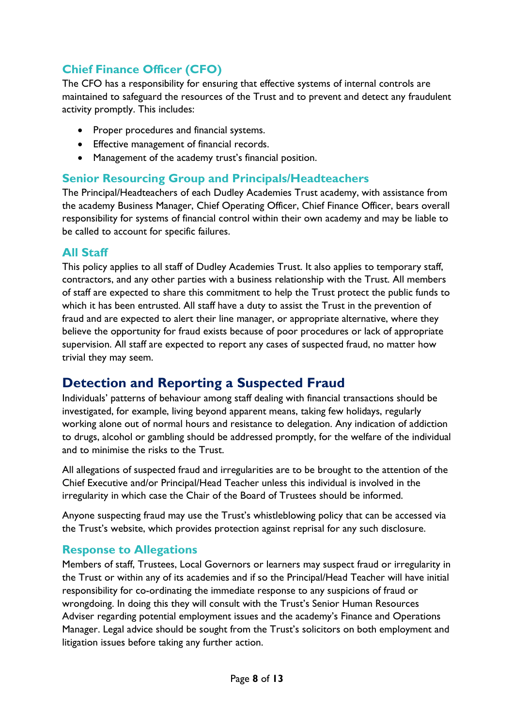## <span id="page-7-0"></span>**Chief Finance Officer (CFO)**

The CFO has a responsibility for ensuring that effective systems of internal controls are maintained to safeguard the resources of the Trust and to prevent and detect any fraudulent activity promptly. This includes:

- Proper procedures and financial systems.
- Effective management of financial records.
- Management of the academy trust's financial position.

### <span id="page-7-1"></span>**Senior Resourcing Group and Principals/Headteachers**

The Principal/Headteachers of each Dudley Academies Trust academy, with assistance from the academy Business Manager, Chief Operating Officer, Chief Finance Officer, bears overall responsibility for systems of financial control within their own academy and may be liable to be called to account for specific failures.

### <span id="page-7-2"></span>**All Staff**

This policy applies to all staff of Dudley Academies Trust. It also applies to temporary staff, contractors, and any other parties with a business relationship with the Trust. All members of staff are expected to share this commitment to help the Trust protect the public funds to which it has been entrusted. All staff have a duty to assist the Trust in the prevention of fraud and are expected to alert their line manager, or appropriate alternative, where they believe the opportunity for fraud exists because of poor procedures or lack of appropriate supervision. All staff are expected to report any cases of suspected fraud, no matter how trivial they may seem.

# <span id="page-7-3"></span>**Detection and Reporting a Suspected Fraud**

Individuals' patterns of behaviour among staff dealing with financial transactions should be investigated, for example, living beyond apparent means, taking few holidays, regularly working alone out of normal hours and resistance to delegation. Any indication of addiction to drugs, alcohol or gambling should be addressed promptly, for the welfare of the individual and to minimise the risks to the Trust.

All allegations of suspected fraud and irregularities are to be brought to the attention of the Chief Executive and/or Principal/Head Teacher unless this individual is involved in the irregularity in which case the Chair of the Board of Trustees should be informed.

Anyone suspecting fraud may use the Trust's whistleblowing policy that can be accessed via the Trust's website, which provides protection against reprisal for any such disclosure.

## <span id="page-7-4"></span>**Response to Allegations**

Members of staff, Trustees, Local Governors or learners may suspect fraud or irregularity in the Trust or within any of its academies and if so the Principal/Head Teacher will have initial responsibility for co-ordinating the immediate response to any suspicions of fraud or wrongdoing. In doing this they will consult with the Trust's Senior Human Resources Adviser regarding potential employment issues and the academy's Finance and Operations Manager. Legal advice should be sought from the Trust's solicitors on both employment and litigation issues before taking any further action.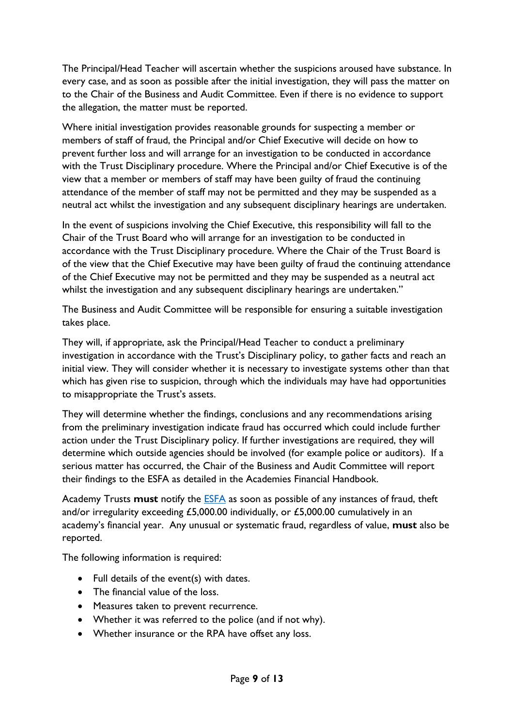The Principal/Head Teacher will ascertain whether the suspicions aroused have substance. In every case, and as soon as possible after the initial investigation, they will pass the matter on to the Chair of the Business and Audit Committee. Even if there is no evidence to support the allegation, the matter must be reported.

Where initial investigation provides reasonable grounds for suspecting a member or members of staff of fraud, the Principal and/or Chief Executive will decide on how to prevent further loss and will arrange for an investigation to be conducted in accordance with the Trust Disciplinary procedure. Where the Principal and/or Chief Executive is of the view that a member or members of staff may have been guilty of fraud the continuing attendance of the member of staff may not be permitted and they may be suspended as a neutral act whilst the investigation and any subsequent disciplinary hearings are undertaken.

In the event of suspicions involving the Chief Executive, this responsibility will fall to the Chair of the Trust Board who will arrange for an investigation to be conducted in accordance with the Trust Disciplinary procedure. Where the Chair of the Trust Board is of the view that the Chief Executive may have been guilty of fraud the continuing attendance of the Chief Executive may not be permitted and they may be suspended as a neutral act whilst the investigation and any subsequent disciplinary hearings are undertaken."

The Business and Audit Committee will be responsible for ensuring a suitable investigation takes place.

They will, if appropriate, ask the Principal/Head Teacher to conduct a preliminary investigation in accordance with the Trust's Disciplinary policy, to gather facts and reach an initial view. They will consider whether it is necessary to investigate systems other than that which has given rise to suspicion, through which the individuals may have had opportunities to misappropriate the Trust's assets.

They will determine whether the findings, conclusions and any recommendations arising from the preliminary investigation indicate fraud has occurred which could include further action under the Trust Disciplinary policy. If further investigations are required, they will determine which outside agencies should be involved (for example police or auditors). If a serious matter has occurred, the Chair of the Business and Audit Committee will report their findings to the ESFA as detailed in the Academies Financial Handbook.

Academy Trusts **must** notify the [ESFA](https://form.education.gov.uk/en/AchieveForms/?form_uri=sandbox-publish://AF-Process-f9f4f5a1-936f-448b-bbeb-9dcdd595f468/AF-Stage-8aa41278-3cdd-45a3-ad87-80cbffb8b992/definition.json&redirectlink=%2Fen&cancelRedirectLink=%2Fen) as soon as possible of any instances of fraud, theft and/or irregularity exceeding £5,000.00 individually, or £5,000.00 cumulatively in an academy's financial year. Any unusual or systematic fraud, regardless of value, **must** also be reported.

The following information is required:

- Full details of the event(s) with dates.
- The financial value of the loss.
- Measures taken to prevent recurrence.
- Whether it was referred to the police (and if not why).
- Whether insurance or the RPA have offset any loss.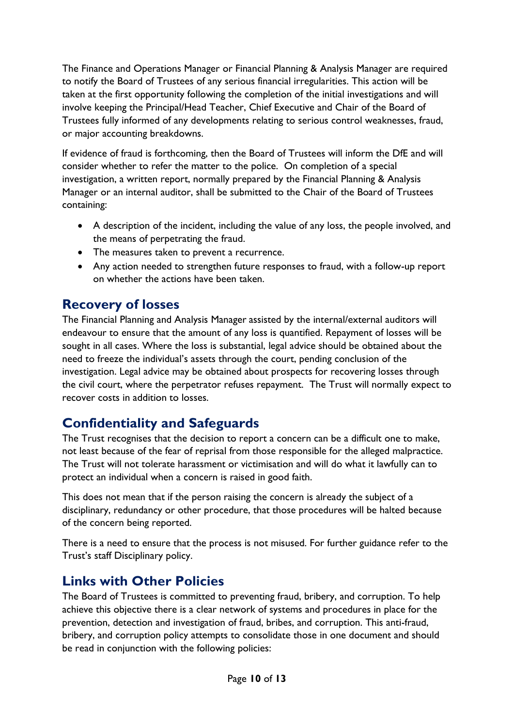The Finance and Operations Manager or Financial Planning & Analysis Manager are required to notify the Board of Trustees of any serious financial irregularities. This action will be taken at the first opportunity following the completion of the initial investigations and will involve keeping the Principal/Head Teacher, Chief Executive and Chair of the Board of Trustees fully informed of any developments relating to serious control weaknesses, fraud, or major accounting breakdowns.

If evidence of fraud is forthcoming, then the Board of Trustees will inform the DfE and will consider whether to refer the matter to the police. On completion of a special investigation, a written report, normally prepared by the Financial Planning & Analysis Manager or an internal auditor, shall be submitted to the Chair of the Board of Trustees containing:

- A description of the incident, including the value of any loss, the people involved, and the means of perpetrating the fraud.
- The measures taken to prevent a recurrence.
- Any action needed to strengthen future responses to fraud, with a follow-up report on whether the actions have been taken.

## <span id="page-9-0"></span>**Recovery of losses**

The Financial Planning and Analysis Manager assisted by the internal/external auditors will endeavour to ensure that the amount of any loss is quantified. Repayment of losses will be sought in all cases. Where the loss is substantial, legal advice should be obtained about the need to freeze the individual's assets through the court, pending conclusion of the investigation. Legal advice may be obtained about prospects for recovering losses through the civil court, where the perpetrator refuses repayment. The Trust will normally expect to recover costs in addition to losses.

# <span id="page-9-1"></span>**Confidentiality and Safeguards**

The Trust recognises that the decision to report a concern can be a difficult one to make, not least because of the fear of reprisal from those responsible for the alleged malpractice. The Trust will not tolerate harassment or victimisation and will do what it lawfully can to protect an individual when a concern is raised in good faith.

This does not mean that if the person raising the concern is already the subject of a disciplinary, redundancy or other procedure, that those procedures will be halted because of the concern being reported.

There is a need to ensure that the process is not misused. For further guidance refer to the Trust's staff Disciplinary policy.

# <span id="page-9-2"></span>**Links with Other Policies**

The Board of Trustees is committed to preventing fraud, bribery, and corruption. To help achieve this objective there is a clear network of systems and procedures in place for the prevention, detection and investigation of fraud, bribes, and corruption. This anti-fraud, bribery, and corruption policy attempts to consolidate those in one document and should be read in conjunction with the following policies: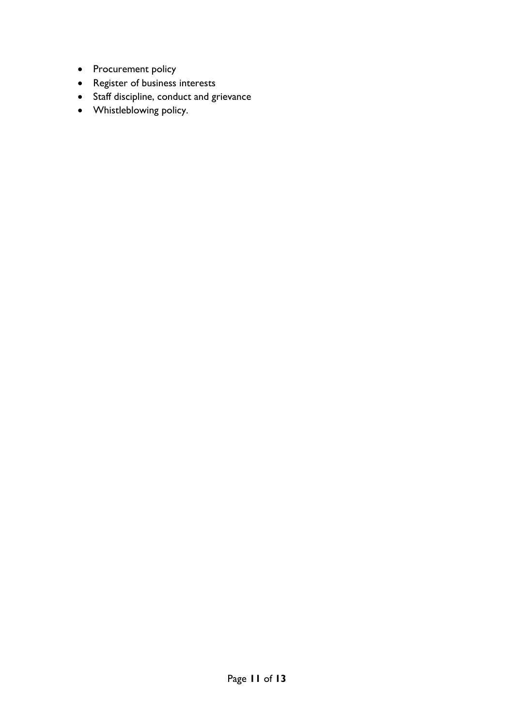- Procurement policy
- Register of business interests
- Staff discipline, conduct and grievance
- Whistleblowing policy.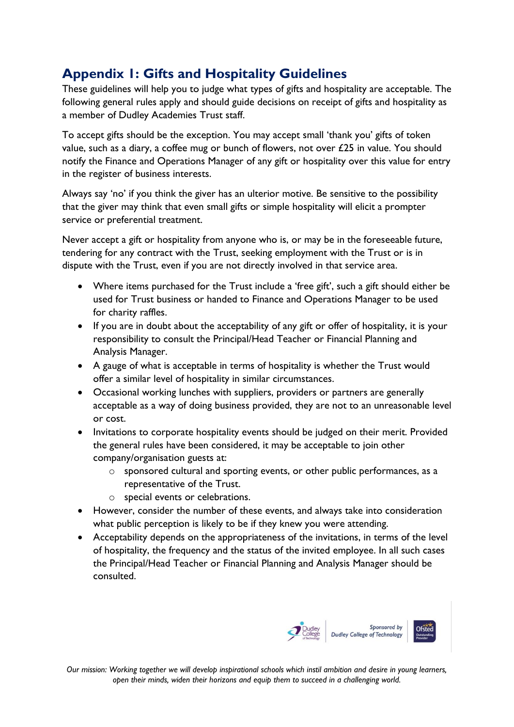# <span id="page-11-0"></span>**Appendix 1: Gifts and Hospitality Guidelines**

These guidelines will help you to judge what types of gifts and hospitality are acceptable. The following general rules apply and should guide decisions on receipt of gifts and hospitality as a member of Dudley Academies Trust staff.

To accept gifts should be the exception. You may accept small 'thank you' gifts of token value, such as a diary, a coffee mug or bunch of flowers, not over  $£25$  in value. You should notify the Finance and Operations Manager of any gift or hospitality over this value for entry in the register of business interests.

Always say 'no' if you think the giver has an ulterior motive. Be sensitive to the possibility that the giver may think that even small gifts or simple hospitality will elicit a prompter service or preferential treatment.

Never accept a gift or hospitality from anyone who is, or may be in the foreseeable future, tendering for any contract with the Trust, seeking employment with the Trust or is in dispute with the Trust, even if you are not directly involved in that service area.

- Where items purchased for the Trust include a 'free gift', such a gift should either be used for Trust business or handed to Finance and Operations Manager to be used for charity raffles.
- If you are in doubt about the acceptability of any gift or offer of hospitality, it is your responsibility to consult the Principal/Head Teacher or Financial Planning and Analysis Manager.
- A gauge of what is acceptable in terms of hospitality is whether the Trust would offer a similar level of hospitality in similar circumstances.
- Occasional working lunches with suppliers, providers or partners are generally acceptable as a way of doing business provided, they are not to an unreasonable level or cost.
- Invitations to corporate hospitality events should be judged on their merit. Provided the general rules have been considered, it may be acceptable to join other company/organisation guests at:
	- o sponsored cultural and sporting events, or other public performances, as a representative of the Trust.
	- o special events or celebrations.
- However, consider the number of these events, and always take into consideration what public perception is likely to be if they knew you were attending.
- Acceptability depends on the appropriateness of the invitations, in terms of the level of hospitality, the frequency and the status of the invited employee. In all such cases the Principal/Head Teacher or Financial Planning and Analysis Manager should be consulted.



*Our mission: Working together we will develop inspirational schools which instil ambition and desire in young learners, open their minds, widen their horizons and equip them to succeed in a challenging world.*